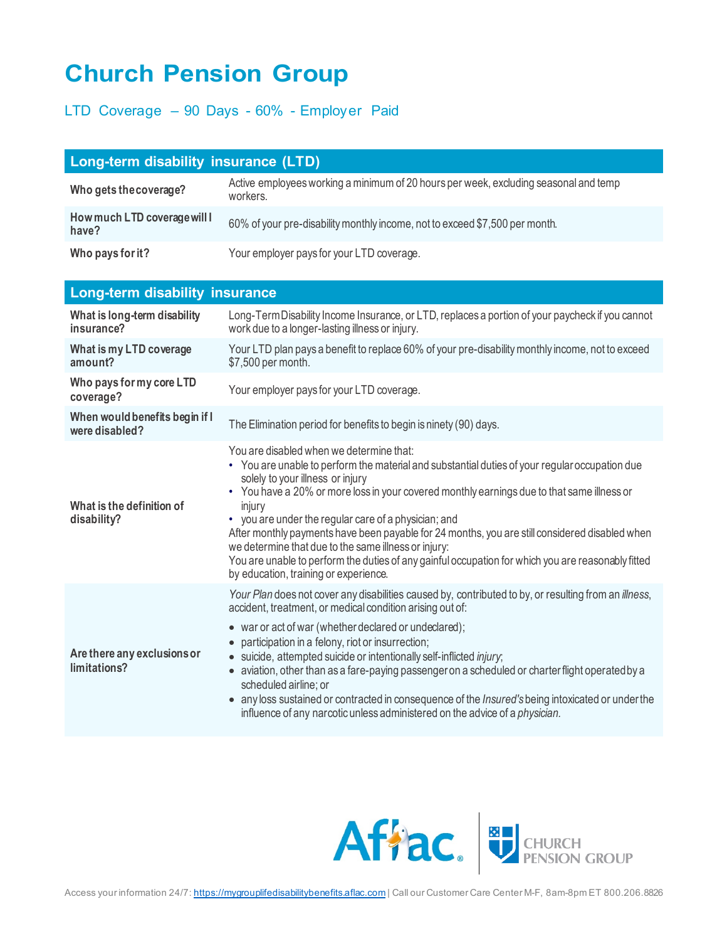## **Church Pension Group**

## LTD Coverage – 90 Days - 60% - Employer Paid

| Long-term disability insurance (LTD)  |                                                                                                  |  |
|---------------------------------------|--------------------------------------------------------------------------------------------------|--|
| Who gets the coverage?                | Active employees working a minimum of 20 hours per week, excluding seasonal and temp<br>workers. |  |
| How much LTD coverage will I<br>have? | 60% of your pre-disability monthly income, not to exceed \$7,500 per month.                      |  |
| Who pays for it?                      | Your employer pays for your LTD coverage.                                                        |  |

| <b>Long-term disability insurance</b>            |                                                                                                                                                                                                                                                                                                                                                                                                                                                                                                                                                                                                                                                                                                 |
|--------------------------------------------------|-------------------------------------------------------------------------------------------------------------------------------------------------------------------------------------------------------------------------------------------------------------------------------------------------------------------------------------------------------------------------------------------------------------------------------------------------------------------------------------------------------------------------------------------------------------------------------------------------------------------------------------------------------------------------------------------------|
| What is long-term disability<br>insurance?       | Long-Term Disability Income Insurance, or LTD, replaces a portion of your paycheck if you cannot<br>work due to a longer-lasting illness or injury.                                                                                                                                                                                                                                                                                                                                                                                                                                                                                                                                             |
| What is my LTD coverage<br>amount?               | Your LTD plan pays a benefit to replace 60% of your pre-disability monthly income, not to exceed<br>\$7,500 per month.                                                                                                                                                                                                                                                                                                                                                                                                                                                                                                                                                                          |
| Who pays for my core LTD<br>coverage?            | Your employer pays for your LTD coverage.                                                                                                                                                                                                                                                                                                                                                                                                                                                                                                                                                                                                                                                       |
| When would benefits begin if I<br>were disabled? | The Elimination period for benefits to begin is ninety (90) days.                                                                                                                                                                                                                                                                                                                                                                                                                                                                                                                                                                                                                               |
| What is the definition of<br>disability?         | You are disabled when we determine that:<br>• You are unable to perform the material and substantial duties of your regular occupation due<br>solely to your illness or injury<br>• You have a 20% or more loss in your covered monthly earnings due to that same illness or<br>injury<br>• you are under the regular care of a physician; and<br>After monthly payments have been payable for 24 months, you are still considered disabled when<br>we determine that due to the same illness or injury:<br>You are unable to perform the duties of any gainful occupation for which you are reasonably fitted<br>by education, training or experience.                                         |
| Are there any exclusions or<br>limitations?      | Your Plan does not cover any disabilities caused by, contributed to by, or resulting from an <i>illness</i> ,<br>accident, treatment, or medical condition arising out of:<br>• war or act of war (whether declared or undeclared);<br>participation in a felony, riot or insurrection;<br>$\bullet$<br>suicide, attempted suicide or intentionally self-inflicted injury;<br>aviation, other than as a fare-paying passenger on a scheduled or charter flight operated by a<br>scheduled airline; or<br>any loss sustained or contracted in consequence of the Insured's being intoxicated or under the<br>influence of any narcotic unless administered on the advice of a <i>physician</i> . |